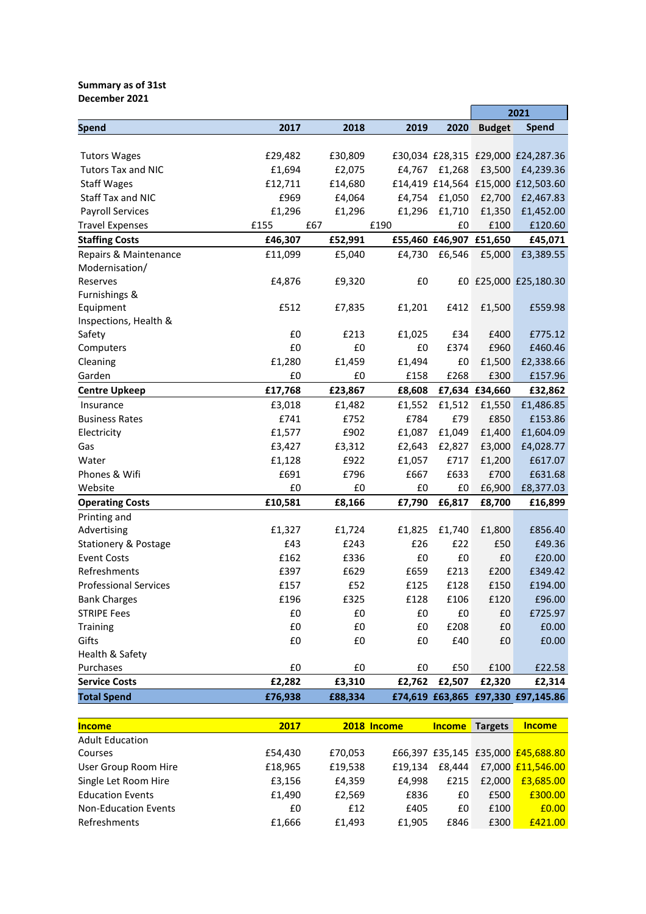## **Summary as of 31st December 2021**

|                                 |                   |                   |        |        |                         | 2021                               |  |
|---------------------------------|-------------------|-------------------|--------|--------|-------------------------|------------------------------------|--|
| Spend                           | 2017              | 2018              | 2019   | 2020   | <b>Budget</b>           | <b>Spend</b>                       |  |
|                                 |                   |                   |        |        |                         |                                    |  |
| <b>Tutors Wages</b>             | £29,482           | £30,809           |        |        |                         | £30,034 £28,315 £29,000 £24,287.36 |  |
| <b>Tutors Tax and NIC</b>       | £1,694            | £2,075            | £4,767 | £1,268 | £3,500                  | £4,239.36                          |  |
| <b>Staff Wages</b>              | £12,711           | £14,680           |        |        |                         | £14,419 £14,564 £15,000 £12,503.60 |  |
| Staff Tax and NIC               | £969              | £4,064            | £4,754 | £1,050 | £2,700                  | £2,467.83                          |  |
| <b>Payroll Services</b>         | £1,296            | £1,296            | £1,296 | £1,710 | £1,350                  | £1,452.00                          |  |
| <b>Travel Expenses</b>          | £155              | £67               | £190   | £0     | £100                    | £120.60                            |  |
| <b>Staffing Costs</b>           | £46,307           | £52,991           |        |        | £55,460 £46,907 £51,650 | £45,071                            |  |
| Repairs & Maintenance           | £11,099           | £5,040            | £4,730 | £6,546 | £5,000                  | £3,389.55                          |  |
| Modernisation/                  |                   |                   |        |        |                         |                                    |  |
| Reserves                        | £4,876            | £9,320            | £0     |        |                         | £0 £25,000 £25,180.30              |  |
| Furnishings &                   |                   |                   |        |        |                         |                                    |  |
| Equipment                       | £512              | £7,835            | £1,201 | £412   | £1,500                  | £559.98                            |  |
| Inspections, Health &           |                   |                   |        |        |                         |                                    |  |
| Safety                          | £0                | £213              | £1,025 | £34    | £400                    | £775.12                            |  |
| Computers                       | £0                | £0                | £0     | £374   | £960                    | £460.46                            |  |
| Cleaning                        | £1,280            | £1,459            | £1,494 | £0     | £1,500                  | £2,338.66                          |  |
| Garden                          | £0                | £0                | £158   | £268   | £300                    | £157.96                            |  |
| <b>Centre Upkeep</b>            | £17,768           | £23,867           | £8,608 |        | £7,634 £34,660          | £32,862                            |  |
| Insurance                       | £3,018            | £1,482            | £1,552 | £1,512 | £1,550                  | £1,486.85                          |  |
| <b>Business Rates</b>           | £741              | £752              | £784   | £79    | £850                    | £153.86                            |  |
| Electricity                     | £1,577            | £902              | £1,087 | £1,049 | £1,400                  | £1,604.09                          |  |
| Gas                             | £3,427            | £3,312            | £2,643 | £2,827 | £3,000                  | £4,028.77                          |  |
| Water                           | £1,128            | £922              | £1,057 | £717   | £1,200                  | £617.07                            |  |
| Phones & Wifi                   | £691              | £796              | £667   | £633   | £700                    | £631.68                            |  |
| Website                         | £0                | £0                | £0     | £0     | £6,900                  | £8,377.03                          |  |
| <b>Operating Costs</b>          | £10,581           | £8,166            | £7,790 | £6,817 | £8,700                  | £16,899                            |  |
| Printing and                    |                   |                   |        |        |                         |                                    |  |
| Advertising                     | £1,327            | £1,724            | £1,825 | £1,740 | £1,800                  | £856.40                            |  |
| <b>Stationery &amp; Postage</b> | £43               | £243              | £26    | £22    | £50                     | £49.36                             |  |
| <b>Event Costs</b>              | £162              | £336              | £0     | £0     | £0                      | £20.00                             |  |
| Refreshments                    | £397              | £629              | £659   | £213   | £200                    | £349.42                            |  |
| <b>Professional Services</b>    | £157              | £52               | £125   | £128   | £150                    | £194.00                            |  |
| <b>Bank Charges</b>             | £196              | £325              | £128   | £106   | £120                    | £96.00                             |  |
| <b>STRIPE Fees</b>              | £0                | £0                | £0     | £0     | £0                      | £725.97                            |  |
| Training                        | $\pmb{\text{f0}}$ | ${\tt f0}$        | £0     | £208   | £0                      | £0.00                              |  |
| Gifts                           | £0                | £0                | £0     | £40    | £0                      | £0.00                              |  |
| Health & Safety                 |                   |                   |        |        |                         |                                    |  |
| Purchases                       | £0                | $\pmb{\text{f0}}$ | £0     | £50    | £100                    | £22.58                             |  |
| <b>Service Costs</b>            | £2,282            | £3,310            | £2,762 | £2,507 | £2,320                  | £2,314                             |  |
| <b>Total Spend</b>              | £76,938           | £88,334           |        |        |                         | £74,619 £63,865 £97,330 £97,145.86 |  |

| <b>Income</b>               | 2017    |         | 2018 Income | <b>Income</b> | <b>Targets</b> | <b>Income</b>                      |
|-----------------------------|---------|---------|-------------|---------------|----------------|------------------------------------|
| <b>Adult Education</b>      |         |         |             |               |                |                                    |
| Courses                     | £54.430 | £70,053 |             |               |                | £66,397 £35,145 £35,000 £45,688.80 |
| User Group Room Hire        | £18,965 | £19,538 | £19.134     | £8.444        |                | £7,000 £11,546.00                  |
| Single Let Room Hire        | £3,156  | £4,359  | £4.998      | £215          | £2,000         | £3,685.00                          |
| <b>Education Events</b>     | £1,490  | £2,569  | £836        | £0            | £500           | £300.00                            |
| <b>Non-Education Events</b> | £0      | £12     | £405        | £0            | £100           | £0.00                              |
| Refreshments                | £1,666  | £1.493  | £1,905      | £846          | £300           | £421.00                            |